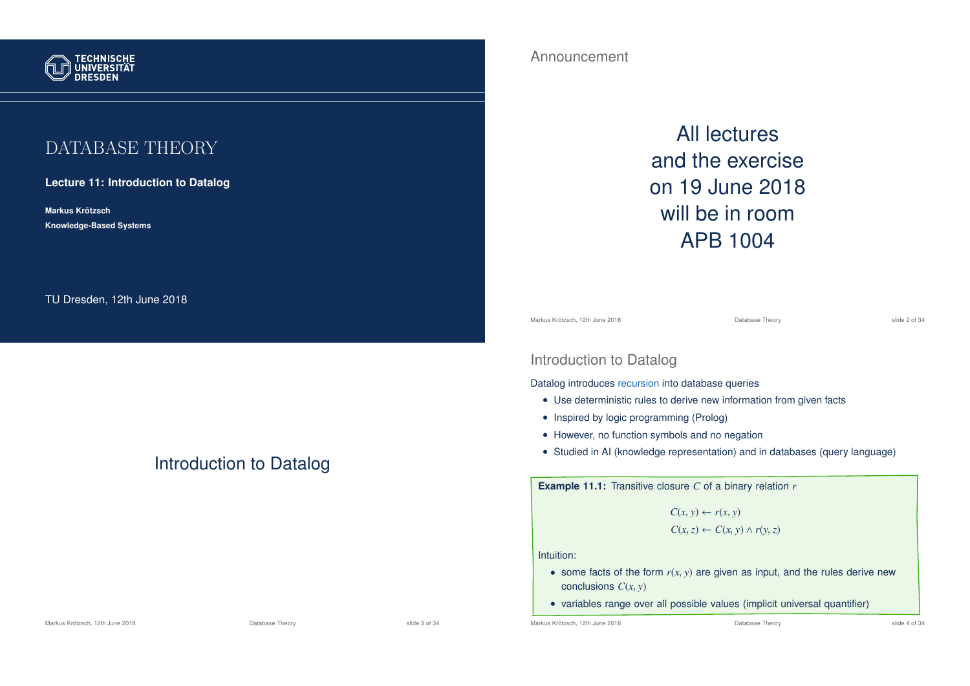

# DATABASE THEORY

## **Lecture 11: Introduction to Datalog**

**Markus Krotzsch ¨ Knowledge-Based Systems**

TU Dresden, 12th June 2018

Introduction to Datalog

## Announcement

All lectures and the exercise on 19 June 2018 will be in room APB 1004

Markus Krötzsch, 12th June 2018 Database Theory slide 2 of 34

## Introduction to Datalog

Datalog introduces recursion into database queries

- Use deterministic rules to derive new information from given facts
- Inspired by logic programming (Prolog)
- However, no function symbols and no negation
- Studied in AI (knowledge representation) and in databases (query language)

**Example 11.1:** Transitive closure *C* of a binary relation *r*

 $C(x, y) \leftarrow r(x, y)$  $C(x, z) \leftarrow C(x, y) \wedge r(y, z)$ 

Intuition:

- some facts of the form  $r(x, y)$  are given as input, and the rules derive new conclusions *C*(*x*, *y*)
- variables range over all possible values (implicit universal quantifier)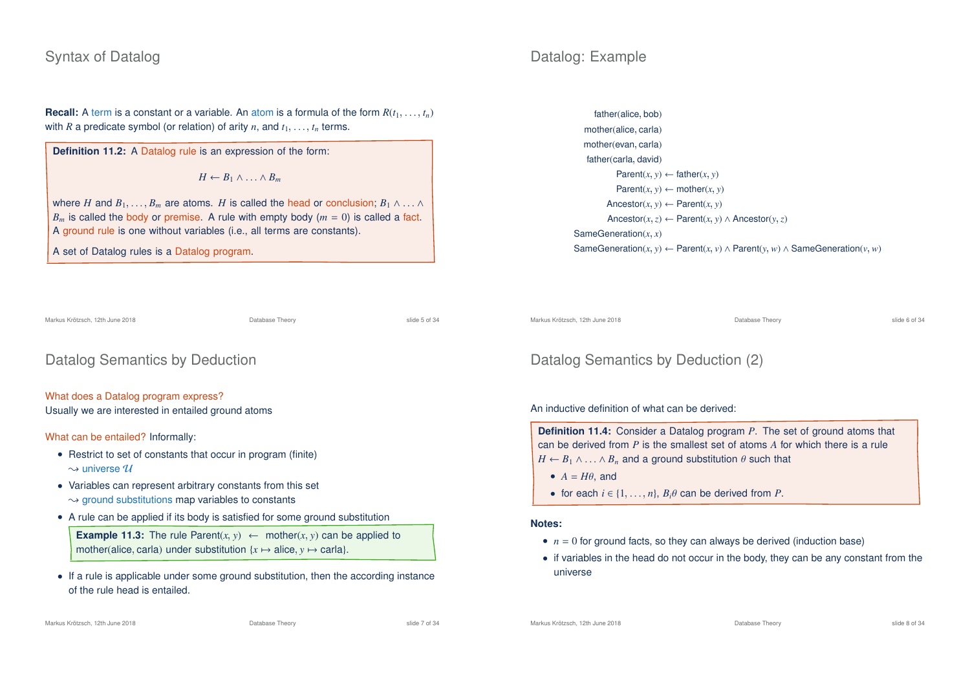# Syntax of Datalog

# Datalog: Example

**Recall:** A term is a constant or a variable. An atom is a formula of the form  $R(t_1, \ldots, t_n)$ with *R* a predicate symbol (or relation) of arity *n*, and  $t_1, \ldots, t_n$  terms.

**Definition 11.2:** A Datalog rule is an expression of the form:

 $H \leftarrow B_1 \wedge \ldots \wedge B_m$ 

where *H* and  $B_1, \ldots, B_m$  are atoms. *H* is called the head or conclusion;  $B_1 \wedge \ldots \wedge$  $B_m$  is called the body or premise. A rule with empty body  $(m = 0)$  is called a fact. A ground rule is one without variables (i.e., all terms are constants).

A set of Datalog rules is a Datalog program.

Markus Krötzsch, 12th June 2018 Database Theory slide 5 of 34

Datalog Semantics by Deduction

What does a Datalog program express? Usually we are interested in entailed ground atoms

What can be entailed? Informally:

- Restrict to set of constants that occur in program (finite)  $\rightsquigarrow$  universe  $\mathcal U$
- Variables can represent arbitrary constants from this set  $\rightarrow$  ground substitutions map variables to constants
- A rule can be applied if its body is satisfied for some ground substitution

**Example 11.3:** The rule Parent $(x, y) \leftarrow$  mother $(x, y)$  can be applied to mother(alice, carla) under substitution  $\{x \mapsto \text{alice}, y \mapsto \text{carla}\}.$ 

• If a rule is applicable under some ground substitution, then the according instance of the rule head is entailed.

father(alice, bob) mother(alice, carla) mother(evan, carla) father(carla, david) Parent $(x, y) \leftarrow$  father $(x, y)$  $Parent(x, y) \leftarrow mother(x, y)$ Ancestor( $x, y$ )  $\leftarrow$  Parent( $x, y$ ) Ancestor(*x*,*z*) ← Parent(*x*, *y*) ∧ Ancestor(*y*,*z*) SameGeneration(*x*, *x*) SameGeneration(*x*, *y*) ← Parent(*x*, *v*) ∧ Parent(*y*, *w*) ∧ SameGeneration(*v*, *w*)

Markus Krötzsch, 12th June 2018 **Database Theory** Database Theory **State Containers** Slide 6 of 34

# Datalog Semantics by Deduction (2)

An inductive definition of what can be derived:

**Definition 11.4:** Consider a Datalog program *P*. The set of ground atoms that can be derived from *P* is the smallest set of atoms *A* for which there is a rule  $H \leftarrow B_1 \wedge \ldots \wedge B_n$  and a ground substitution  $\theta$  such that

- $A = H\theta$ , and
- for each  $i \in \{1, \ldots, n\}$ ,  $B_i \theta$  can be derived from *P*.

#### **Notes:**

- $n = 0$  for ground facts, so they can always be derived (induction base)
- if variables in the head do not occur in the body, they can be any constant from the universe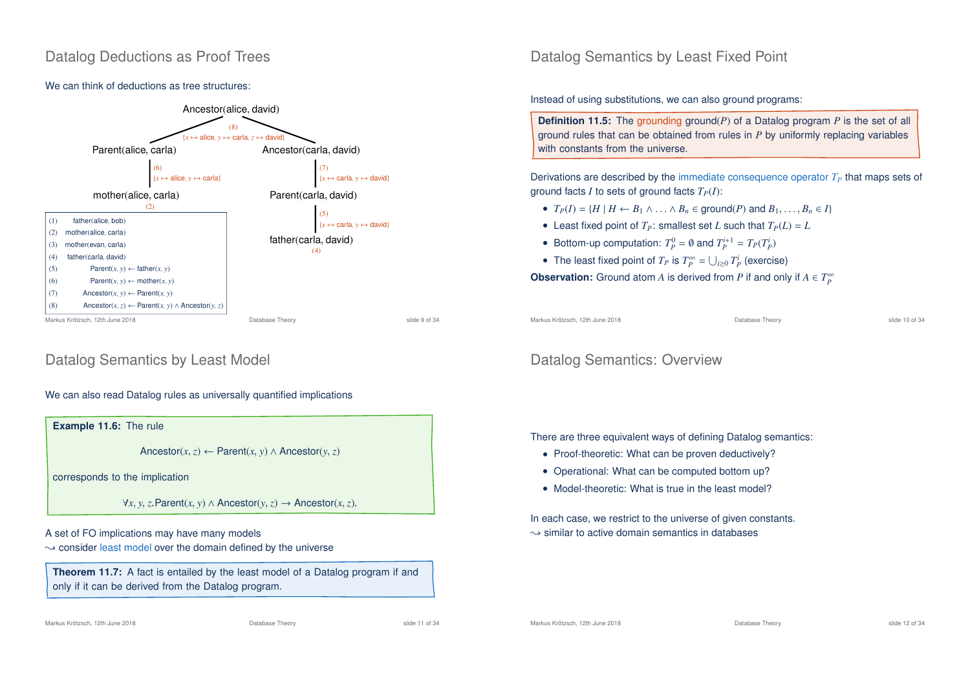# Datalog Deductions as Proof Trees

## We can think of deductions as tree structures:



# Datalog Semantics by Least Model

## We can also read Datalog rules as universally quantified implications



only if it can be derived from the Datalog program.

## Datalog Semantics by Least Fixed Point

Instead of using substitutions, we can also ground programs:

**Definition 11.5:** The grounding ground(*P*) of a Datalog program *P* is the set of all ground rules that can be obtained from rules in *P* by uniformly replacing variables with constants from the universe.

Derivations are described by the immediate consequence operator  $T_P$  that maps sets of ground facts *I* to sets of ground facts  $T_P(I)$ :

- $T_P(I) = \{H \mid H \leftarrow B_1 \land \ldots \land B_n \in \text{ground}(P) \text{ and } B_1, \ldots, B_n \in I\}$
- Least fixed point of  $T_P$ : smallest set *L* such that  $T_P(L) = L$
- Bottom-up computation:  $T_p^0 = \emptyset$  and  $T_p^{i+1} = T_p(T_p^i)$
- The least fixed point of  $T_P$  is  $T_P^{\infty} = \bigcup_{i \geq 0} T_P^i$  (exercise)

**Observation:** Ground atom *A* is derived from *P* if and only if  $A \in T_P^{\infty}$ 

Markus Krötzsch, 12th June 2018 **Database Theory** Database Theory slide 10 of 34

# Datalog Semantics: Overview

There are three equivalent ways of defining Datalog semantics:

- Proof-theoretic: What can be proven deductively?
- Operational: What can be computed bottom up?
- Model-theoretic: What is true in the least model?

In each case, we restrict to the universe of given constants.  $\rightarrow$  similar to active domain semantics in databases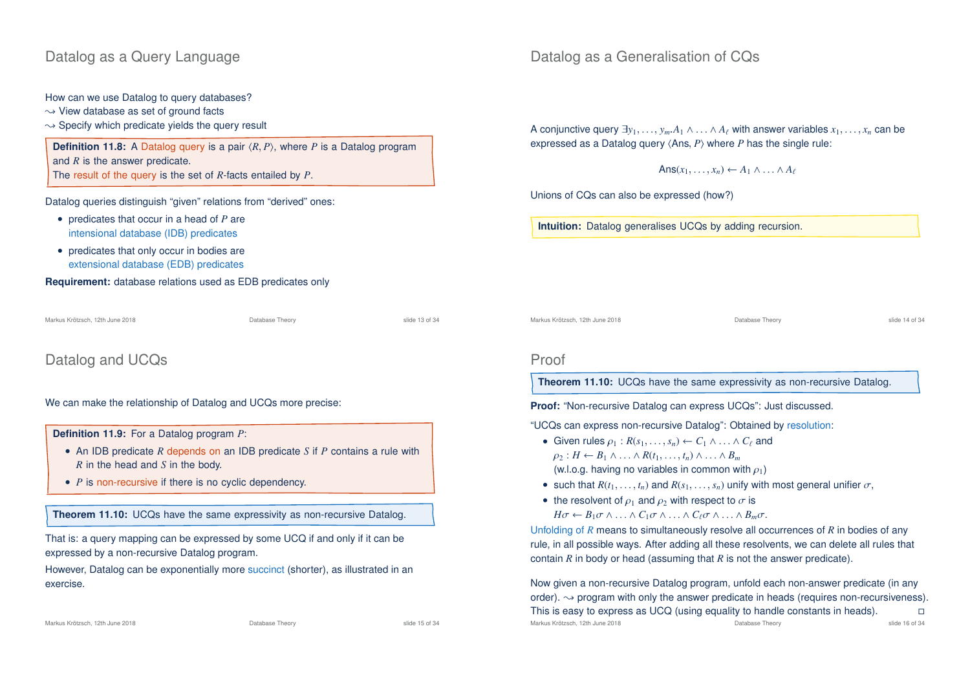# Datalog as a Query Language

How can we use Datalog to query databases?

- $\rightarrow$  View database as set of ground facts
- $\rightarrow$  Specify which predicate vields the query result

**Definition 11.8:** A Datalog query is a pair  $\langle R, P \rangle$ , where *P* is a Datalog program and *R* is the answer predicate. The result of the query is the set of *R*-facts entailed by *P*.

Datalog queries distinguish "given" relations from "derived" ones:

- predicates that occur in a head of *P* are intensional database (IDB) predicates
- predicates that only occur in bodies are extensional database (EDB) predicates

**Requirement:** database relations used as EDB predicates only

Markus Krötzsch, 12th June 2018 Database Theory slide 13 of 34

Datalog and UCQs

We can make the relationship of Datalog and UCQs more precise:

**Definition 11.9:** For a Datalog program *P*:

- An IDB predicate *R* depends on an IDB predicate *S* if *P* contains a rule with *R* in the head and *S* in the body.
- *P* is non-recursive if there is no cyclic dependency.

**Theorem 11.10:** UCQs have the same expressivity as non-recursive Datalog.

That is: a query mapping can be expressed by some UCQ if and only if it can be expressed by a non-recursive Datalog program.

However, Datalog can be exponentially more succinct (shorter), as illustrated in an exercise.

# Datalog as a Generalisation of CQs

A conjunctive query  $\exists y_1, \ldots, y_m.A_1 \wedge \ldots \wedge A_\ell$  with answer variables  $x_1, \ldots, x_n$  can be expressed as a Datalog query  $\langle Ans, P \rangle$  where *P* has the single rule:

 $Ans(x_1, \ldots, x_n) \leftarrow A_1 \wedge \ldots \wedge A_\ell$ 

Unions of CQs can also be expressed (how?)

**Intuition:** Datalog generalises UCQs by adding recursion.

Markus Krötzsch, 12th June 2018 Database Theory slide 14 of 34

## Proof

**Theorem 11.10:** UCQs have the same expressivity as non-recursive Datalog.

**Proof:** "Non-recursive Datalog can express UCQs": Just discussed.

"UCQs can express non-recursive Datalog": Obtained by resolution:

- Given rules  $\rho_1 : R(s_1, \ldots, s_n) \leftarrow C_1 \wedge \ldots \wedge C_\ell$  and  $\rho_2: H \leftarrow B_1 \wedge \ldots \wedge R(t_1, \ldots, t_n) \wedge \ldots \wedge B_m$ (w.l.o.g. having no variables in common with  $\rho_1$ )
- such that  $R(t_1, \ldots, t_n)$  and  $R(s_1, \ldots, s_n)$  unify with most general unifier  $\sigma$ ,
- the resolvent of  $\rho_1$  and  $\rho_2$  with respect to  $\sigma$  is  $H\sigma \leftarrow B_1\sigma \wedge \ldots \wedge C_1\sigma \wedge \ldots \wedge C_\ell\sigma \wedge \ldots \wedge B_m\sigma.$

Unfolding of *R* means to simultaneously resolve all occurrences of *R* in bodies of any rule, in all possible ways. After adding all these resolvents, we can delete all rules that contain *R* in body or head (assuming that *R* is not the answer predicate).

Now given a non-recursive Datalog program, unfold each non-answer predicate (in any order).  $\rightarrow$  program with only the answer predicate in heads (requires non-recursiveness). This is easy to express as UCQ (using equality to handle constants in heads).  $\Box$ Markus Krötzsch, 12th June 2018 **Database Theory** Database Theory slide 16 of 34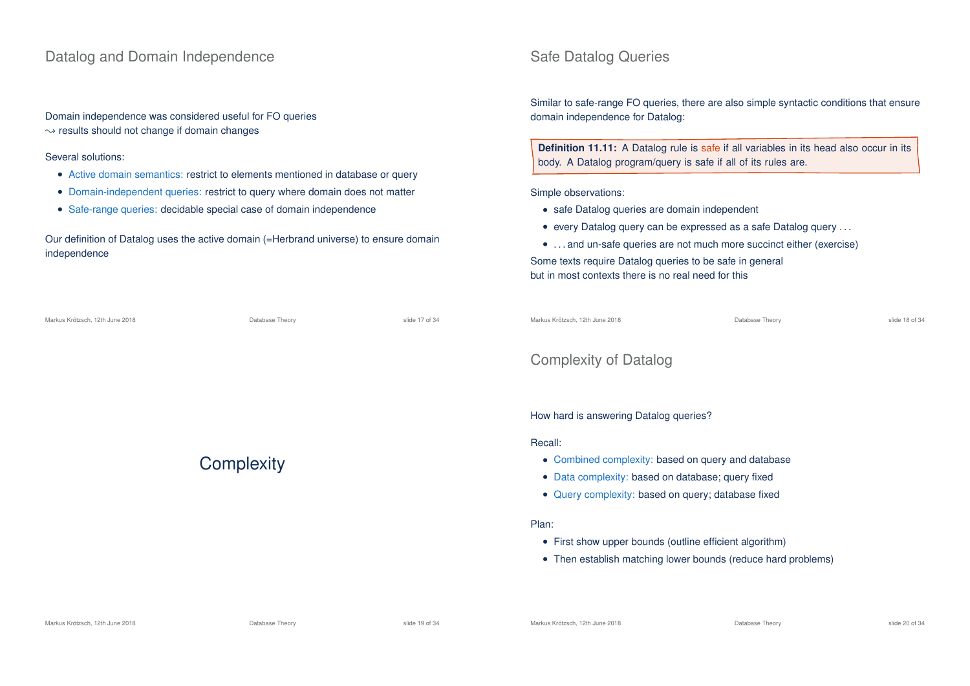## Datalog and Domain Independence

Domain independence was considered useful for FO queries  $\rightarrow$  results should not change if domain changes

Several solutions:

- Active domain semantics: restrict to elements mentioned in database or query
- Domain-independent queries: restrict to query where domain does not matter
- Safe-range queries: decidable special case of domain independence

Our definition of Datalog uses the active domain (=Herbrand universe) to ensure domain independence

| Markus Krötzsch. 12th June 2018 | Database Theory | slide 17 of 34 |
|---------------------------------|-----------------|----------------|
|                                 |                 |                |

**Complexity** 

## Safe Datalog Queries

Similar to safe-range FO queries, there are also simple syntactic conditions that ensure domain independence for Datalog:

**Definition 11.11:** A Datalog rule is safe if all variables in its head also occur in its body. A Datalog program/query is safe if all of its rules are.

Simple observations:

- safe Datalog queries are domain independent
- every Datalog query can be expressed as a safe Datalog query . . .
- . . . and un-safe queries are not much more succinct either (exercise)

Some texts require Datalog queries to be safe in general but in most contexts there is no real need for this

| Markus Krötzsch, 12th June 2018 | Database Theory | slide 18 of 34 |
|---------------------------------|-----------------|----------------|
|                                 |                 |                |

# Complexity of Datalog

How hard is answering Datalog queries?

#### Recall:

- Combined complexity: based on query and database
- Data complexity: based on database; query fixed
- Query complexity: based on query; database fixed

#### Plan:

- First show upper bounds (outline efficient algorithm)
- Then establish matching lower bounds (reduce hard problems)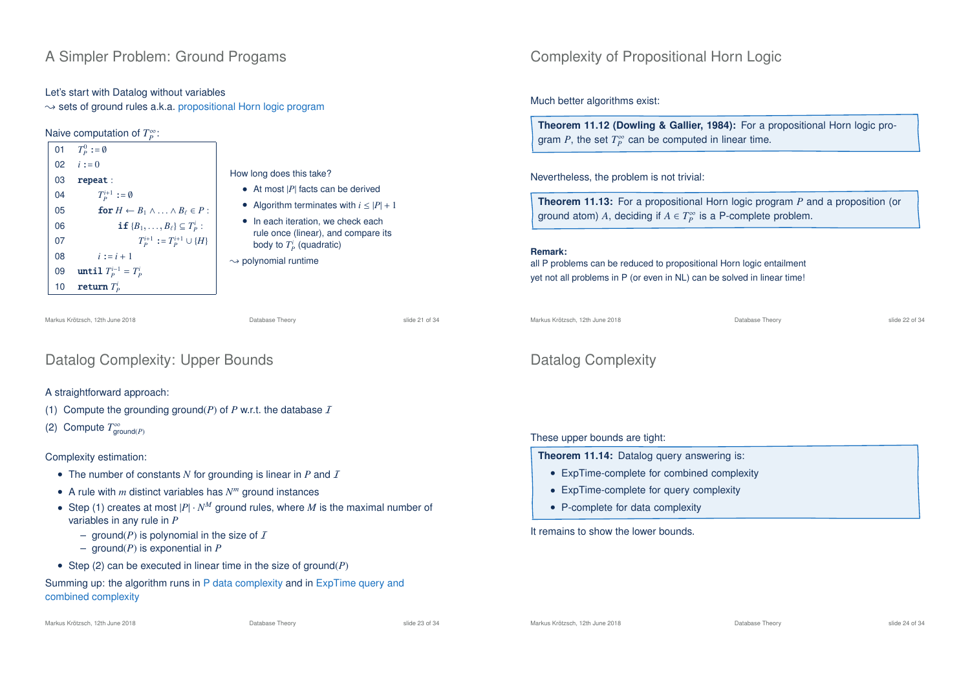# A Simpler Problem: Ground Progams

#### Let's start with Datalog without variables

 $\rightarrow$  sets of ground rules a.k.a. propositional Horn logic program

## Naive computation of *T*<sup>∞</sup>:

| 01              | $T_{\scriptscriptstyle D}^0 := \emptyset$                  |                                                                                      |
|-----------------|------------------------------------------------------------|--------------------------------------------------------------------------------------|
| 02 <sup>°</sup> | $i := 0$                                                   |                                                                                      |
| 03              | repeat:                                                    | How long does this take?                                                             |
| 04              | $T_p^{i+1} := \emptyset$                                   | • At most $ P $ facts can be derived<br>• Algorithm terminates with $i \leq  P  + 1$ |
| 05              | for $H \leftarrow B_1 \wedge \ldots \wedge B_\ell \in P$ : |                                                                                      |
| 06              | <b>if</b> ${B_1, \ldots, B_\ell} \subseteq T_p^i$ :        | • In each iteration, we check each<br>rule once (linear), and compare its            |
| 07              | $T_p^{i+1} := T_p^{i+1} \cup \{H\}$                        | body to $T_p^i$ (quadratic)                                                          |
| 08              | $i := i + 1$                                               | $\rightarrow$ polynomial runtime                                                     |
| 09              | until $T_P^{i-1} = T_P^i$                                  |                                                                                      |
| 10              | return $T_p^i$                                             |                                                                                      |
|                 |                                                            |                                                                                      |

Markus Krötzsch, 12th June 2018 Database Theory slide 21 of 34

# Datalog Complexity: Upper Bounds

## A straightforward approach:

## (1) Compute the grounding ground( $P$ ) of  $P$  w.r.t. the database  $I$

(2) Compute  $T^{\infty}_{\text{ground}(P)}$ 

## Complexity estimation:

- The number of constants *N* for grounding is linear in *P* and *I*
- A rule with *m* distinct variables has *N <sup>m</sup>* ground instances
- Step (1) creates at most  $|P| \cdot N^M$  ground rules, where M is the maximal number of variables in any rule in *P*
	- ground( $P$ ) is polynomial in the size of  $I$
	- ground(*P*) is exponential in *P*
- Step (2) can be executed in linear time in the size of ground(*P*)

Summing up: the algorithm runs in P data complexity and in ExpTime query and combined complexity

# Complexity of Propositional Horn Logic

## Much better algorithms exist:

**Theorem 11.12 (Dowling & Gallier, 1984):** For a propositional Horn logic program P, the set  $T_P^{\infty}$  can be computed in linear time.

Nevertheless, the problem is not trivial:

**Theorem 11.13:** For a propositional Horn logic program *P* and a proposition (or ground atom) A, deciding if  $A \in T_P^{\infty}$  is a P-complete problem.

#### **Remark:**

all P problems can be reduced to propositional Horn logic entailment yet not all problems in P (or even in NL) can be solved in linear time!

Markus Krötzsch, 12th June 2018 Database Theory slide 22 of 34

# Datalog Complexity

## These upper bounds are tight:

**Theorem 11.14:** Datalog query answering is:

- ExpTime-complete for combined complexity
- ExpTime-complete for query complexity
- P-complete for data complexity

It remains to show the lower bounds.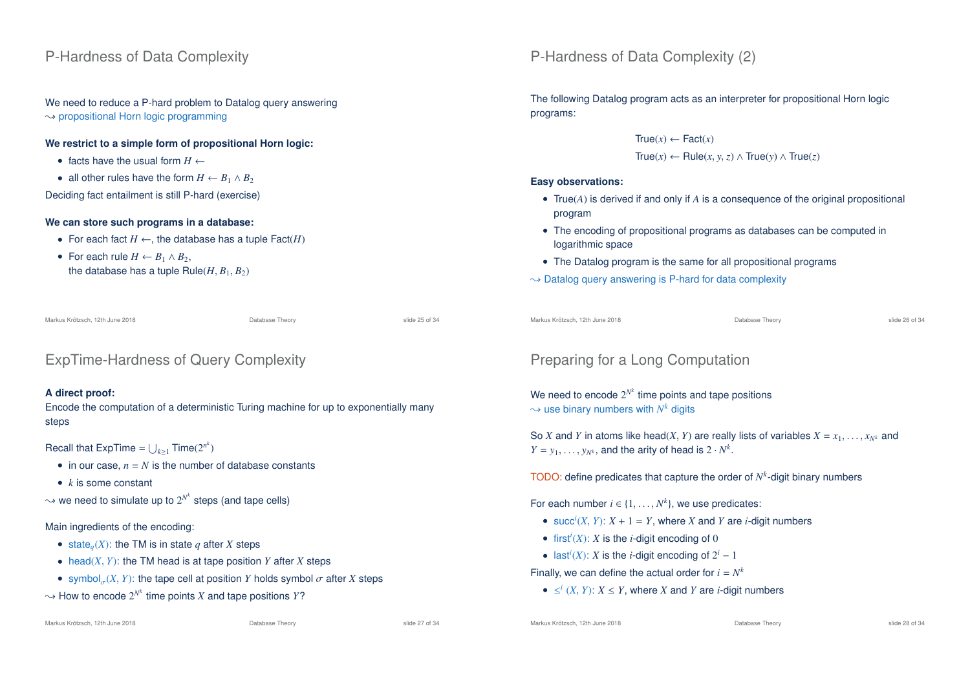# P-Hardness of Data Complexity

We need to reduce a P-hard problem to Datalog query answering  $\rightarrow$  propositional Horn logic programming

## **We restrict to a simple form of propositional Horn logic:**

- facts have the usual form  $H \leftarrow$
- all other rules have the form  $H \leftarrow B_1 \wedge B_2$

Deciding fact entailment is still P-hard (exercise)

## **We can store such programs in a database:**

- For each fact  $H \leftarrow$ , the database has a tuple  $\textsf{Fact}(H)$
- For each rule  $H \leftarrow B_1 \wedge B_2$ . the database has a tuple  $Rule(H, B_1, B_2)$

Markus Krötzsch, 12th June 2018 **Database Theory** Database Theory **Canadiates** Slide 25 of 34

# ExpTime-Hardness of Query Complexity

## **A direct proof:**

Encode the computation of a deterministic Turing machine for up to exponentially many steps

# Recall that ExpTime =  $\bigcup_{k\geq 1}$  Time(2<sup>*n*<sup>k</sup>)</sup>

- in our case,  $n = N$  is the number of database constants
- *k* is some constant
- $\rightsquigarrow$  we need to simulate up to  $2^{N^k}$  steps (and tape cells)

## Main ingredients of the encoding:

- state<sub>q</sub> $(X)$ : the TM is in state *q* after *X* steps
- head(*X*, *Y*): the TM head is at tape position *Y* after *X* steps
- symbol<sub> $\sigma$ </sub> $(X, Y)$ : the tape cell at position *Y* holds symbol  $\sigma$  after *X* steps
- $\rightsquigarrow$  How to encode  $2^{N^k}$  time points *X* and tape positions *Y*?

# P-Hardness of Data Complexity (2)

The following Datalog program acts as an interpreter for propositional Horn logic programs:

> $True(x) \leftarrow Fact(x)$ True(*x*) ← Rule(*x*, *y*,*z*) ∧ True(*y*) ∧ True(*z*)

#### **Easy observations:**

- True(*A*) is derived if and only if *A* is a consequence of the original propositional program
- The encoding of propositional programs as databases can be computed in logarithmic space
- The Datalog program is the same for all propositional programs
- $\rightarrow$  Datalog query answering is P-hard for data complexity

```
Markus Krötzsch, 12th June 2018 Database Theory slide 26 of 34
```
# Preparing for a Long Computation

We need to encode  $2^{N^k}$  time points and tape positions  $\rightsquigarrow$  use binary numbers with  $N^k$  digits

So *X* and *Y* in atoms like head(*X*, *Y*) are really lists of variables  $X = x_1, \ldots, x_{N^k}$  and  $Y = y_1, \ldots, y_{N^k}$ , and the arity of head is  $2 \cdot N^k$ .

TODO: define predicates that capture the order of  $N<sup>k</sup>$ -digit binary numbers

For each number  $i \in \{1, ..., N^k\}$ , we use predicates:

- succ<sup>*i*</sup>(*X*, *Y*):  $X + 1 = Y$ , where *X* and *Y* are *i*-digit numbers
- first<sup>*i*</sup>(*X*): *X* is the *i*-digit encoding of 0
- last<sup>*i*</sup>(*X*): *X* is the *i*-digit encoding of  $2^i 1$

Finally, we can define the actual order for  $i = N^k$ 

 $\bullet$  ≤<sup>*i*</sup> (*X*, *Y*): *X* ≤ *Y*, where *X* and *Y* are *i*-digit numbers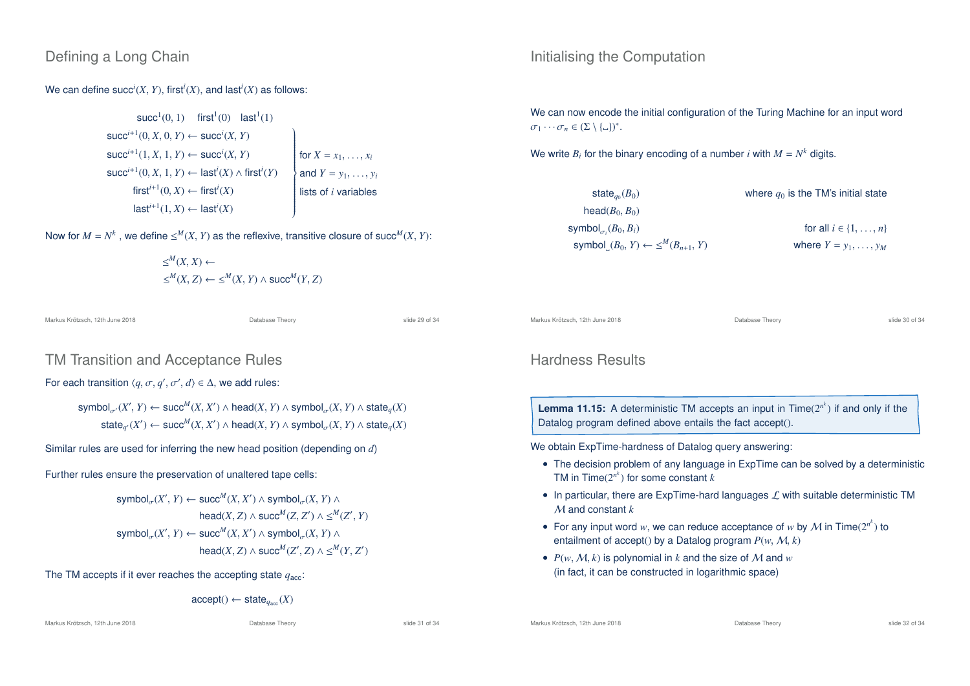# Defining a Long Chain

We can define  $succ^i(X, Y)$ , first<sup>*i*</sup>(*X*), and last<sup>*i*</sup>(*X*) as follows:

$$
\begin{array}{c}\n\text{succ}^{i+1}(0, 1) \quad \text{first}^{i}(0) \quad \text{last}^{i}(1) \\
\text{succ}^{i+1}(0, X, 0, Y) \leftarrow \text{succ}^{i}(X, Y) \\
\text{succ}^{i+1}(1, X, 1, Y) \leftarrow \text{succ}^{i}(X, Y) \\
\text{succ}^{i+1}(0, X, 1, Y) \leftarrow \text{last}^{i}(X) \land \text{first}^{i}(Y) \\
\text{first}^{i+1}(0, X) \leftarrow \text{first}^{i}(X) \\
\text{last}^{i+1}(1, X) \leftarrow \text{last}^{i}(X)\n\end{array}\n\right)\n\quad \text{first}^{i+1}(X)
$$

Now for  $M = N^k$  , we define  $\le^M (X, Y)$  as the reflexive, transitive closure of succ<sup>M</sup> $(X, Y)$ :

$$
\leq^M (X, X) \leftarrow
$$
  

$$
\leq^M (X, Z) \leftarrow \leq^M (X, Y) \land succ^M (Y, Z)
$$

Markus Krötzsch, 12th June 2018 Database Theory slide 29 of 34

# TM Transition and Acceptance Rules

For each transition  $\langle q, \sigma, q', \sigma', d \rangle \in \Delta$ , we add rules:

 ${\sf symbol}_{\sigma'}(X', Y) \leftarrow {\sf succ}^M(X, X') \land {\sf head}(X, Y) \land {\sf symbol}_{\sigma}(X, Y) \land {\sf state}_q(X)$  $\mathsf{state}_{q'}(X') \leftarrow \mathsf{succ}^M(X, X') \land \mathsf{head}(X, Y) \land \mathsf{symbol}_{\sigma}(X, Y) \land \mathsf{state}_q(X)$ 

Similar rules are used for inferring the new head position (depending on *d*)

Further rules ensure the preservation of unaltered tape cells:

$$
\begin{aligned} \text{symbol}_{\sigma}(X',Y) &\leftarrow \text{succ}^M(X,X') \wedge \text{symbol}_{\sigma}(X,Y) \wedge \\ \text{head}(X,Z) &\wedge \text{succ}^M(Z,Z') \wedge \leq^M(Z',Y) \\ \text{symbol}_{\sigma}(X',Y) &\leftarrow \text{succ}^M(X,X') \wedge \text{symbol}_{\sigma}(X,Y) \wedge \\ \text{head}(X,Z) &\wedge \text{succ}^M(Z',Z) \wedge \leq^M(Y,Z') \end{aligned}
$$

The TM accepts if it ever reaches the accepting state  $q_{\text{acc}}$ :

$$
\mathsf{accept}() \leftarrow \mathsf{state}_{q_{\mathsf{acc}}}(X)
$$

Markus Krötzsch, 12th June 2018 Database Theory slide 31 of 34

- For any input word *w*, we can reduce acceptance of *w* by  $M$  in Time( $2^{n^k}$ ) to entailment of accept() by a Datalog program  $P(w, M, k)$
- $P(w, M, k)$  is polynomial in *k* and the size of M and *w* (in fact, it can be constructed in logarithmic space)

# Initialising the Computation

We can now encode the initial configuration of the Turing Machine for an input word  $\sigma_1 \cdots \sigma_n \in (\Sigma \setminus {\{\_ \}\})^*.$ 

We write  $B_i$  for the binary encoding of a number *i* with  $M = N^k$  digits.

| state <sub>a0</sub> $(B_0)$                      | where $q_0$ is the TM's initial state |
|--------------------------------------------------|---------------------------------------|
| head $(B_0, B_0)$                                |                                       |
| symbol $_{\sigma_i}(B_0, B_i)$                   | for all $i \in \{1, \ldots, n\}$      |
| symbol $(B_0, Y) \leftarrow \leq^M (B_{n+1}, Y)$ | where $Y = y_1, \ldots, y_M$          |

Markus Krötzsch, 12th June 2018 Database Theory slide 30 of 34

# Hardness Results

**Lemma 11.15:** A deterministic TM accepts an input in Time(2*<sup>n</sup> k* ) if and only if the

## We obtain ExpTime-hardness of Datalog query answering:

- The decision problem of any language in ExpTime can be solved by a deterministic
- Datalog program defined above entails the fact accept().
	- TM in  $\mathsf{Time}(2^{n^k})$  for some constant  $k$
	- In particular, there are ExpTime-hard languages  $\mathcal L$  with suitable deterministic TM M and constant *k*